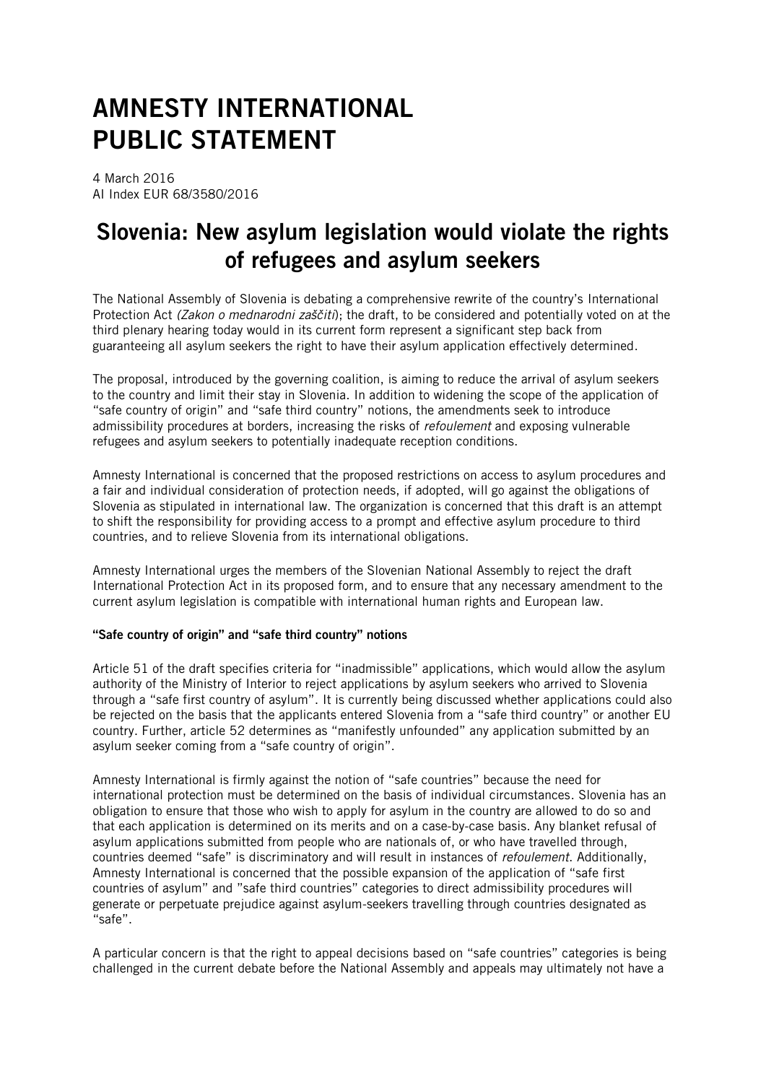# AMNESTY INTERNATIONAL PUBLIC STATEMENT

4 March 2016 AI Index EUR 68/3580/2016

## Slovenia: New asylum legislation would violate the rights of refugees and asylum seekers

The National Assembly of Slovenia is debating a comprehensive rewrite of the country's International Protection Act *(Zakon o mednarodni zaščiti*); the draft, to be considered and potentially voted on at the third plenary hearing today would in its current form represent a significant step back from guaranteeing all asylum seekers the right to have their asylum application effectively determined.

The proposal, introduced by the governing coalition, is aiming to reduce the arrival of asylum seekers to the country and limit their stay in Slovenia. In addition to widening the scope of the application of "safe country of origin" and "safe third country" notions, the amendments seek to introduce admissibility procedures at borders, increasing the risks of *refoulement* and exposing vulnerable refugees and asylum seekers to potentially inadequate reception conditions.

Amnesty International is concerned that the proposed restrictions on access to asylum procedures and a fair and individual consideration of protection needs, if adopted, will go against the obligations of Slovenia as stipulated in international law. The organization is concerned that this draft is an attempt to shift the responsibility for providing access to a prompt and effective asylum procedure to third countries, and to relieve Slovenia from its international obligations.

Amnesty International urges the members of the Slovenian National Assembly to reject the draft International Protection Act in its proposed form, and to ensure that any necessary amendment to the current asylum legislation is compatible with international human rights and European law.

### "Safe country of origin" and "safe third country" notions

Article 51 of the draft specifies criteria for "inadmissible" applications, which would allow the asylum authority of the Ministry of Interior to reject applications by asylum seekers who arrived to Slovenia through a "safe first country of asylum". It is currently being discussed whether applications could also be rejected on the basis that the applicants entered Slovenia from a "safe third country" or another EU country. Further, article 52 determines as "manifestly unfounded" any application submitted by an asylum seeker coming from a "safe country of origin".

Amnesty International is firmly against the notion of "safe countries" because the need for international protection must be determined on the basis of individual circumstances. Slovenia has an obligation to ensure that those who wish to apply for asylum in the country are allowed to do so and that each application is determined on its merits and on a case-by-case basis. Any blanket refusal of asylum applications submitted from people who are nationals of, or who have travelled through, countries deemed "safe" is discriminatory and will result in instances of *refoulement*. Additionally, Amnesty International is concerned that the possible expansion of the application of "safe first countries of asylum" and "safe third countries" categories to direct admissibility procedures will generate or perpetuate prejudice against asylum-seekers travelling through countries designated as "safe".

A particular concern is that the right to appeal decisions based on "safe countries" categories is being challenged in the current debate before the National Assembly and appeals may ultimately not have a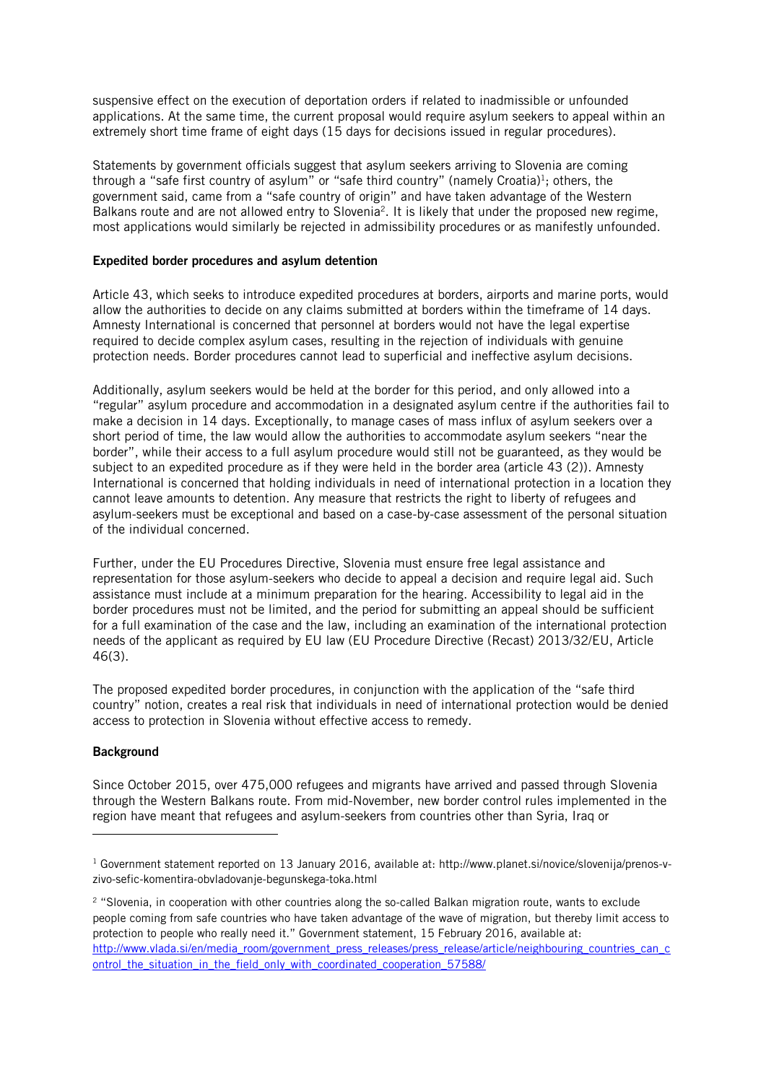suspensive effect on the execution of deportation orders if related to inadmissible or unfounded applications. At the same time, the current proposal would require asylum seekers to appeal within an extremely short time frame of eight days (15 days for decisions issued in regular procedures).

Statements by government officials suggest that asylum seekers arriving to Slovenia are coming through a "safe first country of asylum" or "safe third country" (namely Croatia)<sup>1</sup>; others, the government said, came from a "safe country of origin" and have taken advantage of the Western Balkans route and are not allowed entry to Slovenia<sup>2</sup>. It is likely that under the proposed new regime, most applications would similarly be rejected in admissibility procedures or as manifestly unfounded.

#### Expedited border procedures and asylum detention

Article 43, which seeks to introduce expedited procedures at borders, airports and marine ports, would allow the authorities to decide on any claims submitted at borders within the timeframe of 14 days. Amnesty International is concerned that personnel at borders would not have the legal expertise required to decide complex asylum cases, resulting in the rejection of individuals with genuine protection needs. Border procedures cannot lead to superficial and ineffective asylum decisions.

Additionally, asylum seekers would be held at the border for this period, and only allowed into a "regular" asylum procedure and accommodation in a designated asylum centre if the authorities fail to make a decision in 14 days. Exceptionally, to manage cases of mass influx of asylum seekers over a short period of time, the law would allow the authorities to accommodate asylum seekers "near the border", while their access to a full asylum procedure would still not be guaranteed, as they would be subject to an expedited procedure as if they were held in the border area (article 43 (2)). Amnesty International is concerned that holding individuals in need of international protection in a location they cannot leave amounts to detention. Any measure that restricts the right to liberty of refugees and asylum-seekers must be exceptional and based on a case-by-case assessment of the personal situation of the individual concerned.

Further, under the EU Procedures Directive, Slovenia must ensure free legal assistance and representation for those asylum-seekers who decide to appeal a decision and require legal aid. Such assistance must include at a minimum preparation for the hearing. Accessibility to legal aid in the border procedures must not be limited, and the period for submitting an appeal should be sufficient for a full examination of the case and the law, including an examination of the international protection needs of the applicant as required by EU law (EU Procedure Directive (Recast) 2013/32/EU, Article 46(3).

The proposed expedited border procedures, in conjunction with the application of the "safe third country" notion, creates a real risk that individuals in need of international protection would be denied access to protection in Slovenia without effective access to remedy.

### **Background**

l

Since October 2015, over 475,000 refugees and migrants have arrived and passed through Slovenia through the Western Balkans route. From mid-November, new border control rules implemented in the region have meant that refugees and asylum-seekers from countries other than Syria, Iraq or

<sup>1</sup> Government statement reported on 13 January 2016, available at: http://www.planet.si/novice/slovenija/prenos-vzivo-sefic-komentira-obvladovanje-begunskega-toka.html

<sup>2</sup> "Slovenia, in cooperation with other countries along the so-called Balkan migration route, wants to exclude people coming from safe countries who have taken advantage of the wave of migration, but thereby limit access to protection to people who really need it." Government statement, 15 February 2016, available at: [http://www.vlada.si/en/media\\_room/government\\_press\\_releases/press\\_release/article/neighbouring\\_countries\\_can\\_c](http://www.vlada.si/en/media_room/government_press_releases/press_release/article/neighbouring_countries_can_control_the_situation_in_the_field_only_with_coordinated_cooperation_57588/) [ontrol\\_the\\_situation\\_in\\_the\\_field\\_only\\_with\\_coordinated\\_cooperation\\_57588/](http://www.vlada.si/en/media_room/government_press_releases/press_release/article/neighbouring_countries_can_control_the_situation_in_the_field_only_with_coordinated_cooperation_57588/)